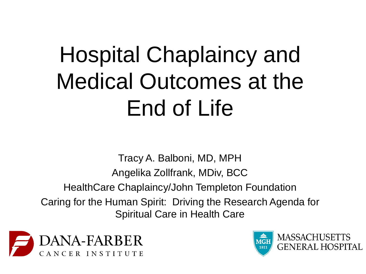# Hospital Chaplaincy and Medical Outcomes at the End of Life

Tracy A. Balboni, MD, MPH Angelika Zollfrank, MDiv, BCC HealthCare Chaplaincy/John Templeton Foundation Caring for the Human Spirit: Driving the Research Agenda for Spiritual Care in Health Care



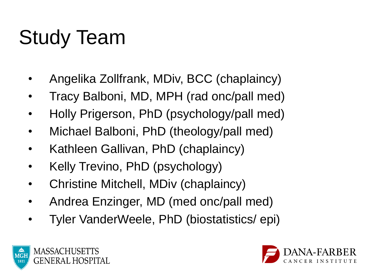# Study Team

- Angelika Zollfrank, MDiv, BCC (chaplaincy)
- Tracy Balboni, MD, MPH (rad onc/pall med)
- Holly Prigerson, PhD (psychology/pall med)
- Michael Balboni, PhD (theology/pall med)
- Kathleen Gallivan, PhD (chaplaincy)
- Kelly Trevino, PhD (psychology)
- Christine Mitchell, MDiv (chaplaincy)
- Andrea Enzinger, MD (med onc/pall med)
- Tyler VanderWeele, PhD (biostatistics/ epi)



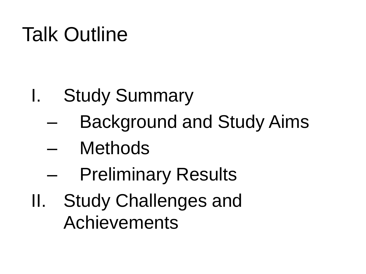## Talk Outline

- I. Study Summary
	- Background and Study Aims
	- **Methods**
	- **Preliminary Results**
- II. Study Challenges and Achievements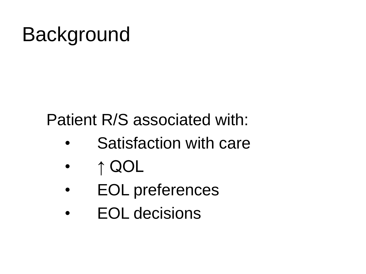Patient R/S associated with:

- Satisfaction with care
- ↑ QOL
- EOL preferences
- EOL decisions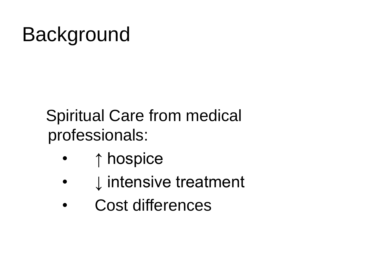### Spiritual Care from medical professionals:

- ↑ hospice
- ↓ intensive treatment
- Cost differences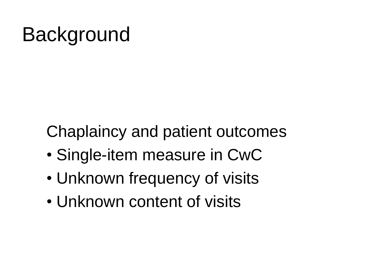Chaplaincy and patient outcomes

- Single-item measure in CwC
- Unknown frequency of visits
- Unknown content of visits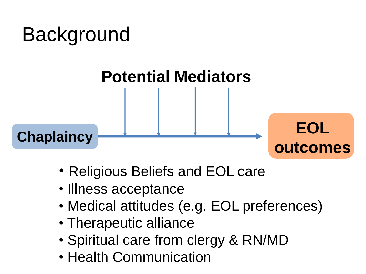### **Potential Mediators**

Chaplaincy **EOL** 

- Religious Beliefs and EOL care
- Illness acceptance
- Medical attitudes (e.g. EOL preferences)

**outcomes**

- Therapeutic alliance
- Spiritual care from clergy & RN/MD
- Health Communication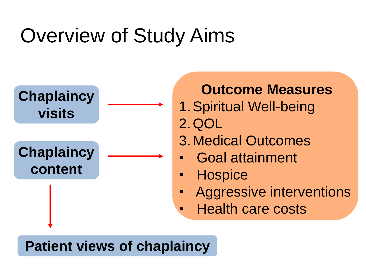## Overview of Study Aims



#### **Outcome Measures**

- 1.Spiritual Well-being 2.QOL
- 3.Medical Outcomes
- Goal attainment
- **Hospice**
- Aggressive interventions
- Health care costs

#### **Patient views of chaplaincy**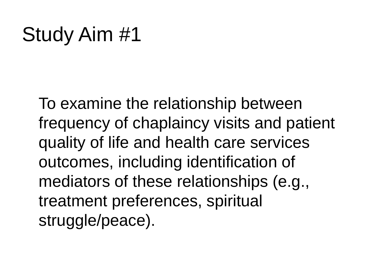## Study Aim #1

To examine the relationship between frequency of chaplaincy visits and patient quality of life and health care services outcomes, including identification of mediators of these relationships (e.g., treatment preferences, spiritual struggle/peace).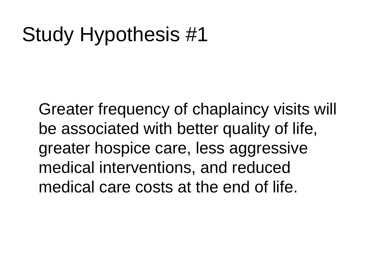## Study Hypothesis #1

Greater frequency of chaplaincy visits will be associated with better quality of life, greater hospice care, less aggressive medical interventions, and reduced medical care costs at the end of life.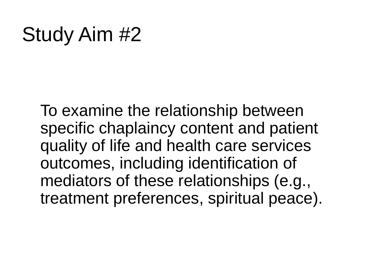### Study Aim #2

To examine the relationship between specific chaplaincy content and patient quality of life and health care services outcomes, including identification of mediators of these relationships (e.g., treatment preferences, spiritual peace).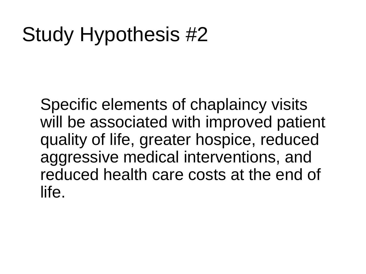## Study Hypothesis #2

Specific elements of chaplaincy visits will be associated with improved patient quality of life, greater hospice, reduced aggressive medical interventions, and reduced health care costs at the end of life.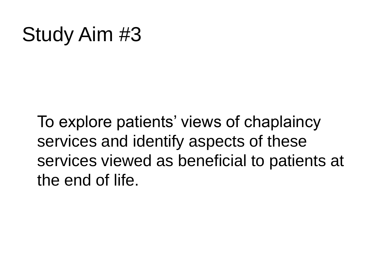## Study Aim #3

To explore patients' views of chaplaincy services and identify aspects of these services viewed as beneficial to patients at the end of life.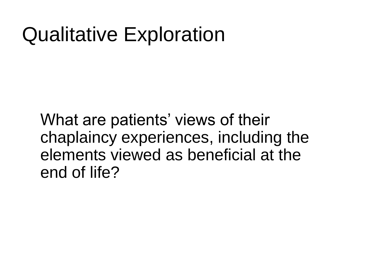### Qualitative Exploration

What are patients' views of their chaplaincy experiences, including the elements viewed as beneficial at the end of life?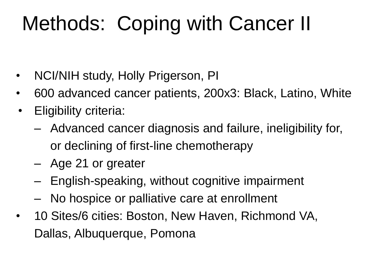## Methods: Coping with Cancer II

- NCI/NIH study, Holly Prigerson, PI
- 600 advanced cancer patients, 200x3: Black, Latino, White
- Eligibility criteria:
	- Advanced cancer diagnosis and failure, ineligibility for, or declining of first-line chemotherapy
	- Age 21 or greater
	- English-speaking, without cognitive impairment
	- No hospice or palliative care at enrollment
- 10 Sites/6 cities: Boston, New Haven, Richmond VA, Dallas, Albuquerque, Pomona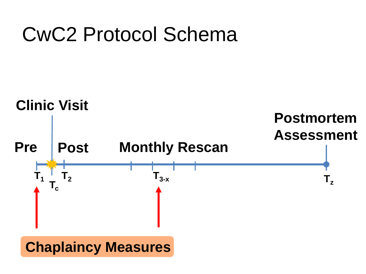### CwC2 Protocol Schema



**Chaplaincy Measures**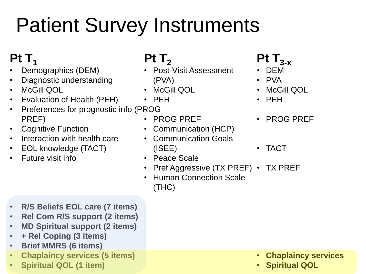# Patient Survey Instruments

### **Pt** T<sub>1</sub>

- Demographics (DEM)
- Diagnostic understanding
- McGill QOL
- Evaluation of Health (PEH)
- Preferences for prognostic info (PROG PREF)
- Cognitive Function
- Interaction with health care
- EOL knowledge (TACT)
- Future visit info

### $Pt T<sub>2</sub>$

- Post-Visit Assessment (PVA)
- McGill QOL
- PEH
- PROG PREF
- Communication (HCP)
- Communication Goals (ISEE)
- Peace Scale
- Pref Aggressive (TX PREF) TX PREF
- Human Connection Scale (THC)
- **R/S Beliefs EOL care (7 items)**
- **Rel Com R/S support (2 items)**
- **MD Spiritual support (2 items)**
- **+ Rel Coping (3 items)**
- **Brief MMRS (6 items)**
- **Chaplaincy services (5 items)**
- **Spiritual QOL (1 item)**
- **Pt T3-x**
- DEM
- PVA
- McGill QOL
- PEH
- PROG PREF
- TACT
- 

- **Chaplaincy services**
- **Spiritual QOL**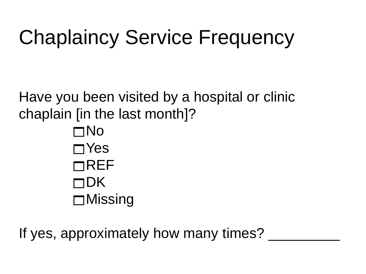## Chaplaincy Service Frequency

Have you been visited by a hospital or clinic chaplain [in the last month]? No

 $\sqcap$ Yes  $\neg$ REF  $\sqcap$ DK **□Missing** 

If yes, approximately how many times?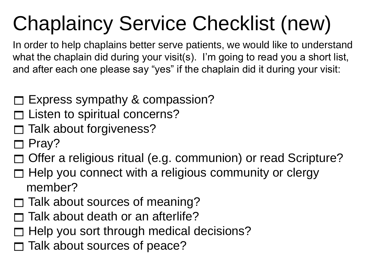# Chaplaincy Service Checklist (new)

In order to help chaplains better serve patients, we would like to understand what the chaplain did during your visit(s). I'm going to read you a short list, and after each one please say "yes" if the chaplain did it during your visit:

- $\Box$  Express sympathy & compassion?
- Listen to spiritual concerns?
- Talk about forgiveness?
- Pray?
- Offer a religious ritual (e.g. communion) or read Scripture?
- $\Box$  Help you connect with a religious community or clergy member?
- $\Box$  Talk about sources of meaning?
- Talk about death or an afterlife?
- Help you sort through medical decisions?
- Talk about sources of peace?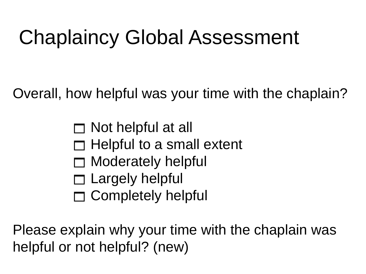## Chaplaincy Global Assessment

Overall, how helpful was your time with the chaplain?

 $\Box$  Not helpful at all  $\Box$  Helpful to a small extent Moderately helpful

- $\Box$  Largely helpful
- Completely helpful

Please explain why your time with the chaplain was helpful or not helpful? (new)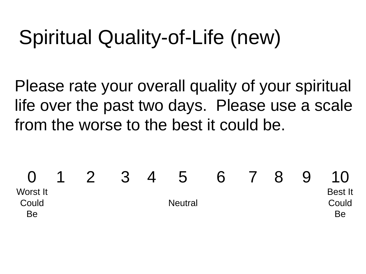## Spiritual Quality-of-Life (new)

Please rate your overall quality of your spiritual life over the past two days. Please use a scale from the worse to the best it could be.

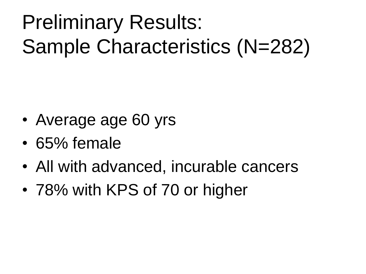## Preliminary Results: Sample Characteristics (N=282)

- Average age 60 yrs
- 65% female
- All with advanced, incurable cancers
- 78% with KPS of 70 or higher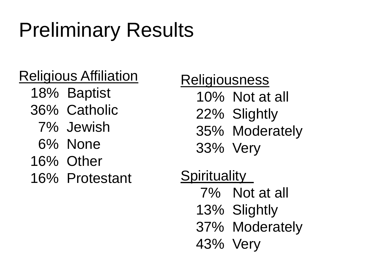## Preliminary Results

### Religious Affiliation

- 18% Baptist
- 36% Catholic
	- 7% Jewish
	- 6% None
- 16% Other
- 16% Protestant

**Religiousness** 10% Not at all 22% Slightly 35% Moderately 33% Very

**Spirituality** 7% Not at all 13% Slightly 37% Moderately 43% Very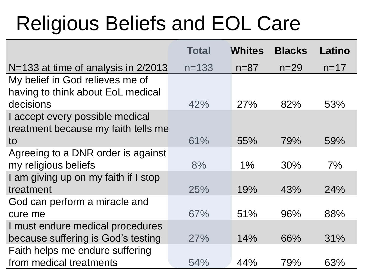## Religious Beliefs and EOL Care

|                                      | <b>Total</b> | <b>Whites</b> | <b>Blacks</b> | Latino   |
|--------------------------------------|--------------|---------------|---------------|----------|
| N=133 at time of analysis in 2/2013  | $n = 133$    | $n = 87$      | $n = 29$      | $n = 17$ |
| My belief in God relieves me of      |              |               |               |          |
| having to think about EoL medical    |              |               |               |          |
| decisions                            | 42%          | 27%           | 82%           | 53%      |
| I accept every possible medical      |              |               |               |          |
| treatment because my faith tells me  |              |               |               |          |
| to                                   | 61%          | 55%           | 79%           | 59%      |
| Agreeing to a DNR order is against   |              |               |               |          |
| my religious beliefs                 | 8%           | $1\%$         | 30%           | 7%       |
| I am giving up on my faith if I stop |              |               |               |          |
| treatment                            | 25%          | 19%           | 43%           | 24%      |
| God can perform a miracle and        |              |               |               |          |
| cure me                              | 67%          | 51%           | 96%           | 88%      |
| I must endure medical procedures     |              |               |               |          |
| because suffering is God's testing   | 27%          | 14%           | 66%           | 31%      |
| Faith helps me endure suffering      |              |               |               |          |
| from medical treatments              | 54%          | 44%           | 79%           | 63%      |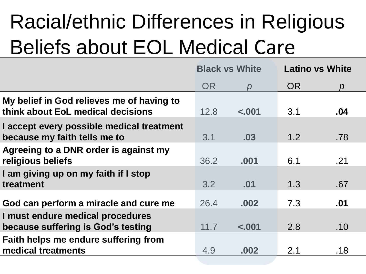# Racial/ethnic Differences in Religious Beliefs about EOL Medical Care

|                                                                                | <b>Black vs White</b> |         | <b>Latino vs White</b> |               |
|--------------------------------------------------------------------------------|-----------------------|---------|------------------------|---------------|
|                                                                                | <b>OR</b>             | D       | <b>OR</b>              | $\mathcal{D}$ |
| My belief in God relieves me of having to<br>think about EoL medical decisions | 12.8                  | $-.001$ | 3.1                    | .04           |
| I accept every possible medical treatment<br>because my faith tells me to      | 3.1                   | .03     | 1.2                    | .78           |
| Agreeing to a DNR order is against my<br>religious beliefs                     | 36.2                  | .001    | 6.1                    | .21           |
| I am giving up on my faith if I stop<br>treatment                              | 3.2                   | .01     | 1.3                    | .67           |
| God can perform a miracle and cure me                                          | 26.4                  | .002    | 7.3                    | .01           |
| I must endure medical procedures<br>because suffering is God's testing         | 11.7                  | $-.001$ | 2.8                    | .10           |
| Faith helps me endure suffering from<br>medical treatments                     | 4.9                   | .002    | 2.1                    | .18           |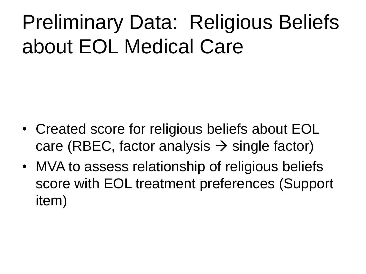## Preliminary Data: Religious Beliefs about EOL Medical Care

- Created score for religious beliefs about EOL care (RBEC, factor analysis  $\rightarrow$  single factor)
- MVA to assess relationship of religious beliefs score with EOL treatment preferences (Support item)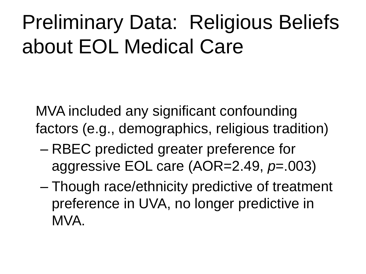## Preliminary Data: Religious Beliefs about EOL Medical Care

MVA included any significant confounding factors (e.g., demographics, religious tradition)

- RBEC predicted greater preference for aggressive EOL care (AOR=2.49, *p*=.003)
- Though race/ethnicity predictive of treatment preference in UVA, no longer predictive in MVA.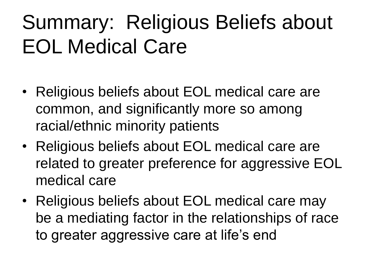## Summary: Religious Beliefs about EOL Medical Care

- Religious beliefs about EOL medical care are common, and significantly more so among racial/ethnic minority patients
- Religious beliefs about EOL medical care are related to greater preference for aggressive EOL medical care
- Religious beliefs about EOL medical care may be a mediating factor in the relationships of race to greater aggressive care at life's end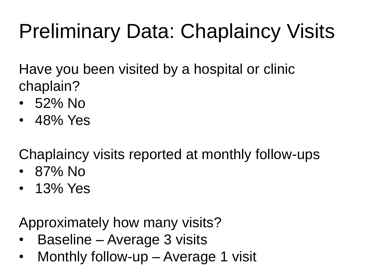## Preliminary Data: Chaplaincy Visits

Have you been visited by a hospital or clinic chaplain?

- 52% No
- 48% Yes

Chaplaincy visits reported at monthly follow-ups

- 87% No
- 13% Yes

Approximately how many visits?

- Baseline Average 3 visits
- Monthly follow-up Average 1 visit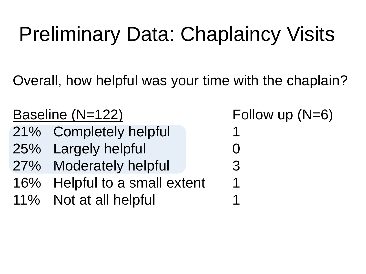## Preliminary Data: Chaplaincy Visits

Overall, how helpful was your time with the chaplain?

| Baseline (N=122) |        |                           | Follow up $(N=6)$ |
|------------------|--------|---------------------------|-------------------|
|                  |        | 21% Completely helpful    | 1                 |
|                  |        | 25% Largely helpful       |                   |
|                  |        | 27% Moderately helpful    | $\mathcal{S}$     |
|                  | $16\%$ | Helpful to a small extent | 1                 |
|                  |        | 11% Not at all helpful    |                   |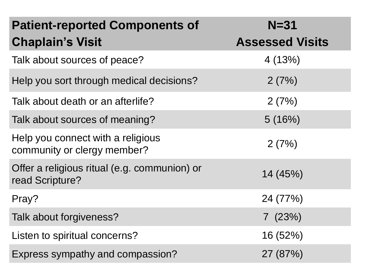| <b>Patient-reported Components of</b>                            | $N = 31$               |
|------------------------------------------------------------------|------------------------|
| <b>Chaplain's Visit</b>                                          | <b>Assessed Visits</b> |
| Talk about sources of peace?                                     | 4(13%)                 |
| Help you sort through medical decisions?                         | 2(7%)                  |
| Talk about death or an afterlife?                                | 2(7%)                  |
| Talk about sources of meaning?                                   | 5(16%)                 |
| Help you connect with a religious<br>community or clergy member? | 2(7%)                  |
| Offer a religious ritual (e.g. communion) or<br>read Scripture?  | 14 (45%)               |
| Pray?                                                            | 24 (77%)               |
| Talk about forgiveness?                                          | 7(23%)                 |
| Listen to spiritual concerns?                                    | 16 (52%)               |
| Express sympathy and compassion?                                 | 27 (87%)               |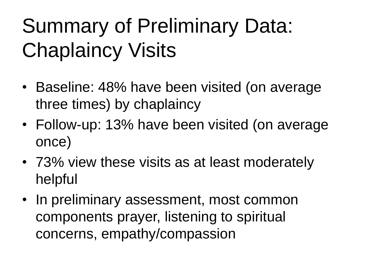## Summary of Preliminary Data: Chaplaincy Visits

- Baseline: 48% have been visited (on average three times) by chaplaincy
- Follow-up: 13% have been visited (on average once)
- 73% view these visits as at least moderately helpful
- In preliminary assessment, most common components prayer, listening to spiritual concerns, empathy/compassion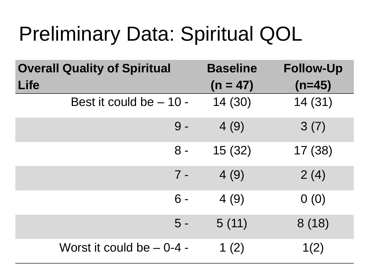## Preliminary Data: Spiritual QOL

| <b>Overall Quality of Spiritual</b> | <b>Baseline</b> | <b>Follow-Up</b> |
|-------------------------------------|-----------------|------------------|
| <b>Life</b>                         | $(n = 47)$      | $(n=45)$         |
| Best it could be - 10 -             | 14 (30)         | 14(31)           |
| $9 -$                               | 4(9)            | 3(7)             |
| $8 -$                               | 15(32)          | 17(38)           |
| $7 -$                               | 4(9)            | 2(4)             |
| $6 -$                               | 4(9)            | 0(0)             |
| $5 -$                               | 5(11)           | 8(18)            |
| Worst it could be - 0-4 -           | 1 $(2)$         | 1(2)             |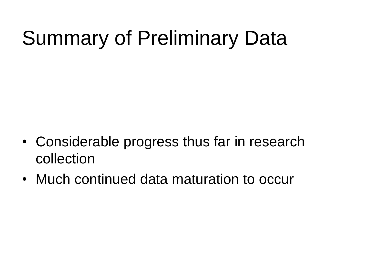## Summary of Preliminary Data

- Considerable progress thus far in research collection
- Much continued data maturation to occur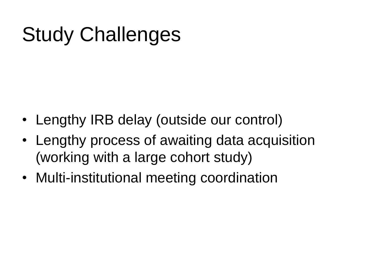## Study Challenges

- Lengthy IRB delay (outside our control)
- Lengthy process of awaiting data acquisition (working with a large cohort study)
- Multi-institutional meeting coordination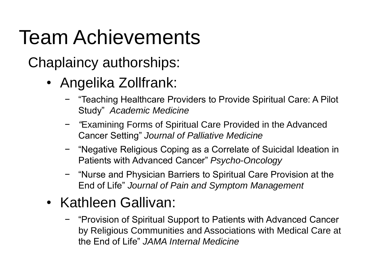## Team Achievements

Chaplaincy authorships:

- Angelika Zollfrank:
	- − "Teaching Healthcare Providers to Provide Spiritual Care: A Pilot Study" *Academic Medicine*
	- − *"*Examining Forms of Spiritual Care Provided in the Advanced Cancer Setting" *Journal of Palliative Medicine*
	- − "Negative Religious Coping as a Correlate of Suicidal Ideation in Patients with Advanced Cancer" *Psycho-Oncology*
	- − "Nurse and Physician Barriers to Spiritual Care Provision at the End of Life" *Journal of Pain and Symptom Management*

#### • Kathleen Gallivan:

− "Provision of Spiritual Support to Patients with Advanced Cancer by Religious Communities and Associations with Medical Care at the End of Life" *JAMA Internal Medicine*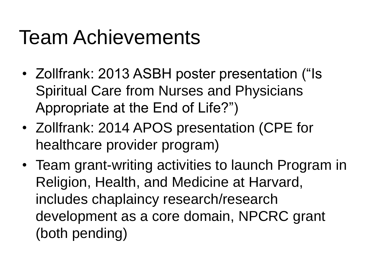## Team Achievements

- Zollfrank: 2013 ASBH poster presentation ("Is Spiritual Care from Nurses and Physicians Appropriate at the End of Life?")
- Zollfrank: 2014 APOS presentation (CPE for healthcare provider program)
- Team grant-writing activities to launch Program in Religion, Health, and Medicine at Harvard, includes chaplaincy research/research development as a core domain, NPCRC grant (both pending)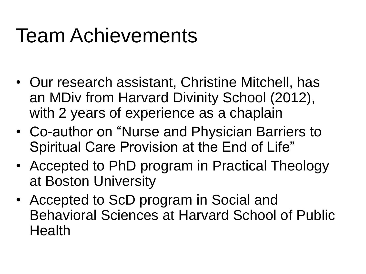## Team Achievements

- Our research assistant, Christine Mitchell, has an MDiv from Harvard Divinity School (2012), with 2 years of experience as a chaplain
- Co-author on "Nurse and Physician Barriers to Spiritual Care Provision at the End of Life"
- Accepted to PhD program in Practical Theology at Boston University
- Accepted to ScD program in Social and Behavioral Sciences at Harvard School of Public Health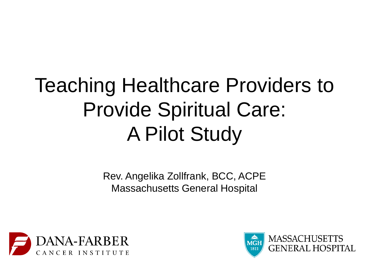## Teaching Healthcare Providers to Provide Spiritual Care: A Pilot Study

Rev. Angelika Zollfrank, BCC, ACPE Massachusetts General Hospital



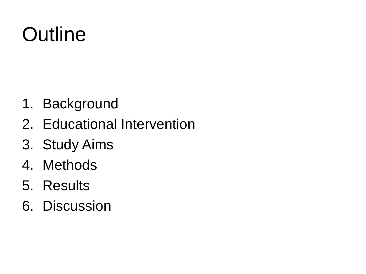## **Outline**

- 1. Background
- 2. Educational Intervention
- 3. Study Aims
- 4. Methods
- 5. Results
- 6. Discussion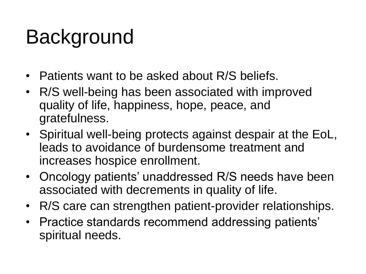- Patients want to be asked about R/S beliefs.
- R/S well-being has been associated with improved quality of life, happiness, hope, peace, and gratefulness.
- Spiritual well-being protects against despair at the EoL, leads to avoidance of burdensome treatment and increases hospice enrollment.
- Oncology patients' unaddressed R/S needs have been associated with decrements in quality of life.
- R/S care can strengthen patient-provider relationships.
- Practice standards recommend addressing patients' spiritual needs.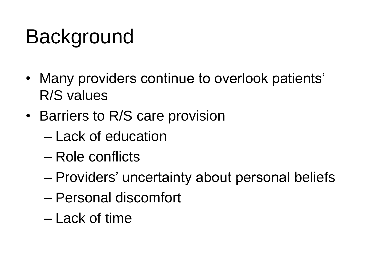- Many providers continue to overlook patients' R/S values
- Barriers to R/S care provision
	- Lack of education
	- Role conflicts
	- Providers' uncertainty about personal beliefs
	- Personal discomfort
	- Lack of time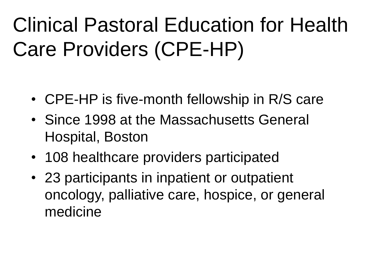## Clinical Pastoral Education for Health Care Providers (CPE-HP)

- CPE-HP is five-month fellowship in R/S care
- Since 1998 at the Massachusetts General Hospital, Boston
- 108 healthcare providers participated
- 23 participants in inpatient or outpatient oncology, palliative care, hospice, or general medicine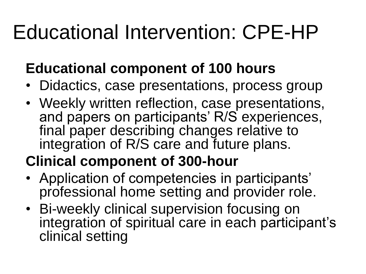## Educational Intervention: CPE-HP

### **Educational component of 100 hours**

- Didactics, case presentations, process group
- Weekly written reflection, case presentations, and papers on participants' R/S experiences, final paper describing changes relative to integration of R/S care and future plans.

### **Clinical component of 300-hour**

- Application of competencies in participants' professional home setting and provider role.
- Bi-weekly clinical supervision focusing on integration of spiritual care in each participant's clinical setting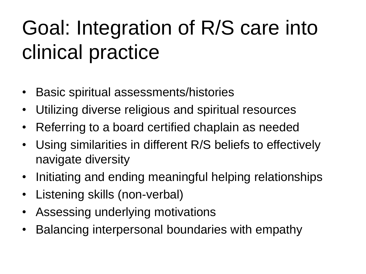## Goal: Integration of R/S care into clinical practice

- Basic spiritual assessments/histories
- Utilizing diverse religious and spiritual resources
- Referring to a board certified chaplain as needed
- Using similarities in different R/S beliefs to effectively navigate diversity
- Initiating and ending meaningful helping relationships
- Listening skills (non-verbal)
- Assessing underlying motivations
- Balancing interpersonal boundaries with empathy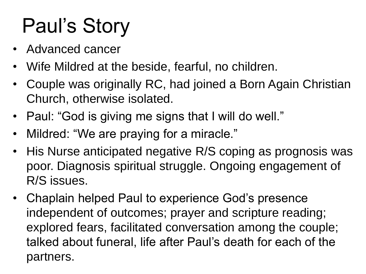## Paul's Story

- Advanced cancer
- Wife Mildred at the beside, fearful, no children.
- Couple was originally RC, had joined a Born Again Christian Church, otherwise isolated.
- Paul: "God is giving me signs that I will do well."
- Mildred: "We are praying for a miracle."
- His Nurse anticipated negative R/S coping as prognosis was poor. Diagnosis spiritual struggle. Ongoing engagement of R/S issues.
- Chaplain helped Paul to experience God's presence independent of outcomes; prayer and scripture reading; explored fears, facilitated conversation among the couple; talked about funeral, life after Paul's death for each of the partners.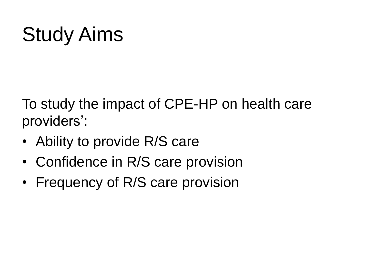## Study Aims

To study the impact of CPE-HP on health care providers':

- Ability to provide R/S care
- Confidence in R/S care provision
- Frequency of R/S care provision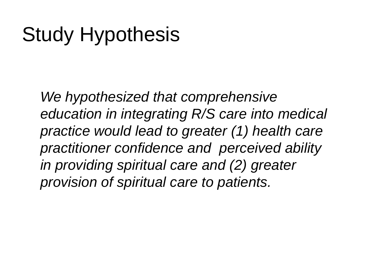## Study Hypothesis

*We hypothesized that comprehensive education in integrating R/S care into medical practice would lead to greater (1) health care practitioner confidence and perceived ability in providing spiritual care and (2) greater provision of spiritual care to patients.*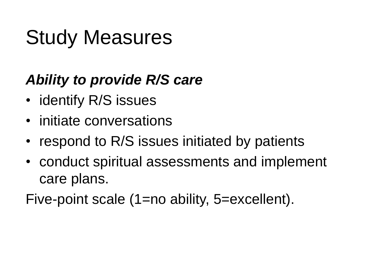## Study Measures

### *Ability to provide R/S care*

- identify R/S issues
- initiate conversations
- respond to R/S issues initiated by patients
- conduct spiritual assessments and implement care plans.

Five-point scale (1=no ability, 5=excellent).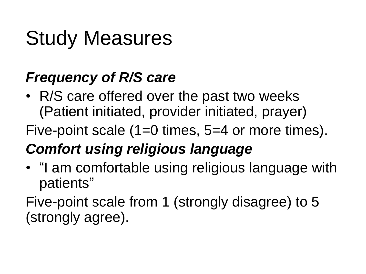## Study Measures

### *Frequency of R/S care*

• R/S care offered over the past two weeks (Patient initiated, provider initiated, prayer)

Five-point scale (1=0 times, 5=4 or more times).

### *Comfort using religious language*

• "I am comfortable using religious language with patients"

Five-point scale from 1 (strongly disagree) to 5 (strongly agree).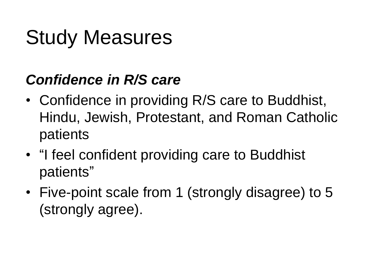## Study Measures

#### *Confidence in R/S care*

- Confidence in providing R/S care to Buddhist, Hindu, Jewish, Protestant, and Roman Catholic patients
- "I feel confident providing care to Buddhist patients"
- Five-point scale from 1 (strongly disagree) to 5 (strongly agree).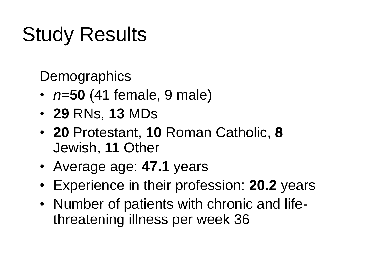## Study Results

**Demographics** 

- *n*=**50** (41 female, 9 male)
- **29** RNs, **13** MDs
- **20** Protestant, **10** Roman Catholic, **8** Jewish, **11** Other
- Average age: **47.1** years
- Experience in their profession: **20.2** years
- Number of patients with chronic and lifethreatening illness per week 36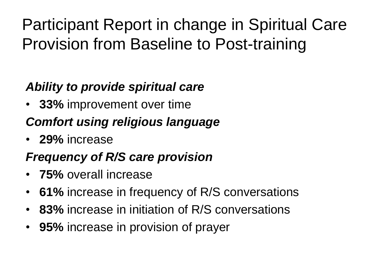### Participant Report in change in Spiritual Care Provision from Baseline to Post-training

#### *Ability to provide spiritual care*

• **33%** improvement over time

#### *Comfort using religious language*

• **29%** increase

#### *Frequency of R/S care provision*

- **75%** overall increase
- **61%** increase in frequency of R/S conversations
- **83%** increase in initiation of R/S conversations
- **95%** increase in provision of prayer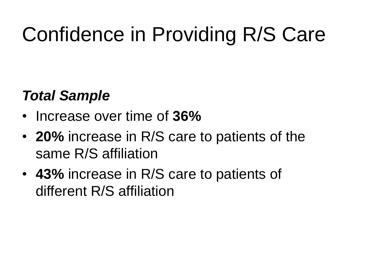## Confidence in Providing R/S Care

### *Total Sample*

- Increase over time of **36%**
- **20%** increase in R/S care to patients of the same R/S affiliation
- **43%** increase in R/S care to patients of different R/S affiliation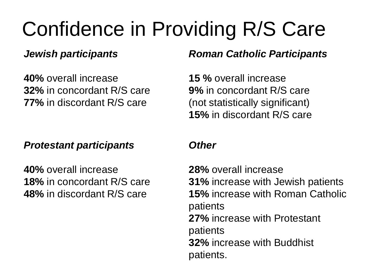## Confidence in Providing R/S Care

#### *Jewish participants*

**40%** overall increase **32%** in concordant R/S care **77%** in discordant R/S care

#### *Protestant participants*

**40%** overall increase **18%** in concordant R/S care **48%** in discordant R/S care

#### *Roman Catholic Participants*

**15 %** overall increase **9%** in concordant R/S care (not statistically significant) **15%** in discordant R/S care

#### *Other*

**28%** overall increase **31%** increase with Jewish patients **15%** increase with Roman Catholic patients **27%** increase with Protestant patients **32%** increase with Buddhist patients.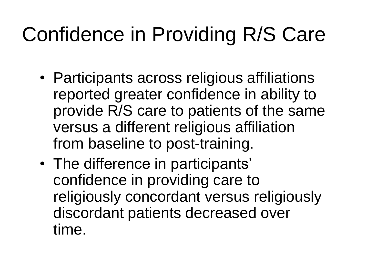## Confidence in Providing R/S Care

- Participants across religious affiliations reported greater confidence in ability to provide R/S care to patients of the same versus a different religious affiliation from baseline to post-training.
- The difference in participants' confidence in providing care to religiously concordant versus religiously discordant patients decreased over time.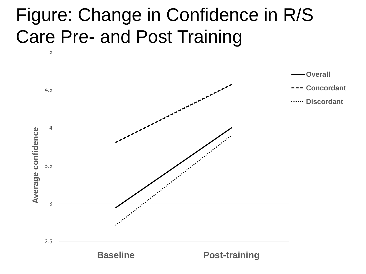### Figure: Change in Confidence in R/S Care Pre- and Post Training

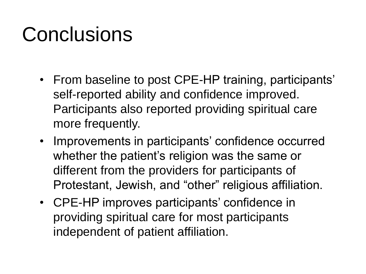## **Conclusions**

- From baseline to post CPE-HP training, participants' self-reported ability and confidence improved. Participants also reported providing spiritual care more frequently.
- Improvements in participants' confidence occurred whether the patient's religion was the same or different from the providers for participants of Protestant, Jewish, and "other" religious affiliation.
- CPE-HP improves participants' confidence in providing spiritual care for most participants independent of patient affiliation.